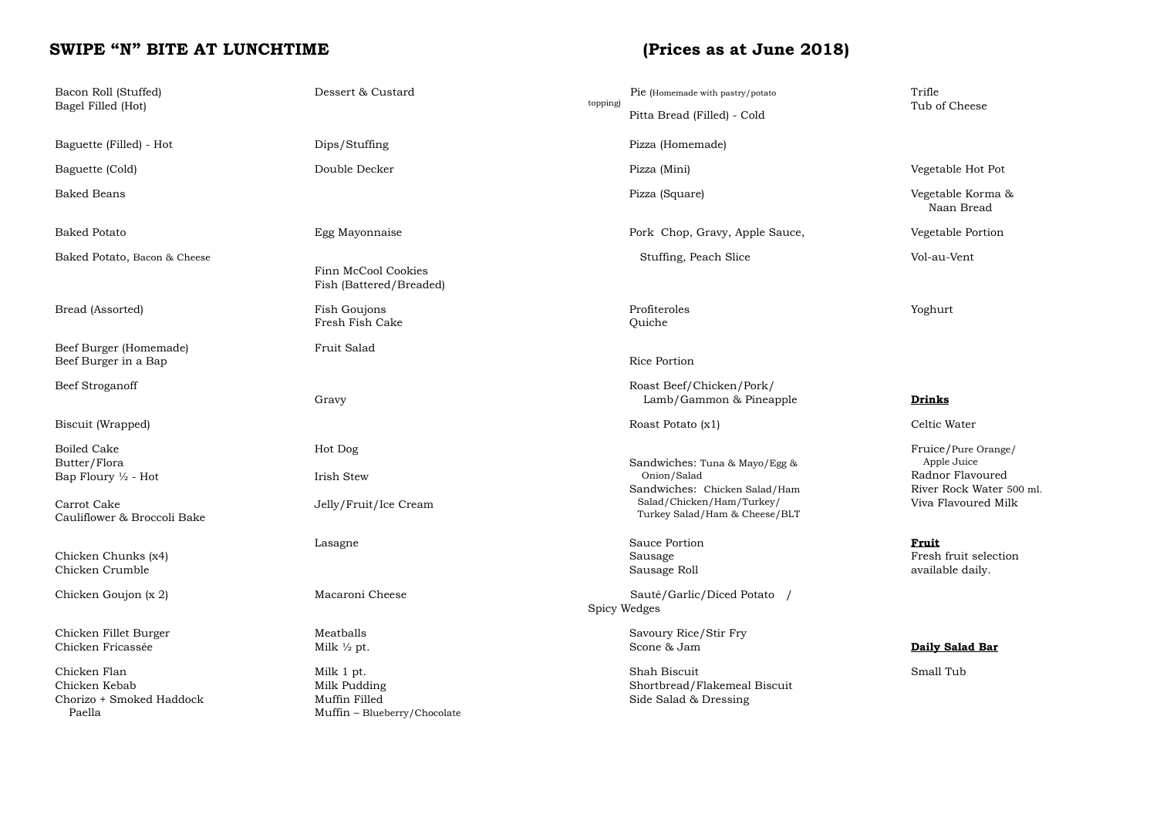# SWIPE "N" BITE AT LUNCHTIME (Prices as at June 2018)

| Bacon Roll (Stuffed)<br>Bagel Filled (Hot)                                                                         | Dessert & Custard                                                           | topping) | Pie (Homemade with pastry/potato<br>Pitta Bread (Filled) - Cold                                                                             | Trifle<br>Tub of Cheese                                                                                   |
|--------------------------------------------------------------------------------------------------------------------|-----------------------------------------------------------------------------|----------|---------------------------------------------------------------------------------------------------------------------------------------------|-----------------------------------------------------------------------------------------------------------|
| Baguette (Filled) - Hot                                                                                            | Dips/Stuffing                                                               |          | Pizza (Homemade)                                                                                                                            |                                                                                                           |
| Baguette (Cold)                                                                                                    | Double Decker                                                               |          | Pizza (Mini)                                                                                                                                | Vegetable Hot Pot                                                                                         |
| <b>Baked Beans</b>                                                                                                 |                                                                             |          | Pizza (Square)                                                                                                                              | Vegetable Korma &<br>Naan Bread                                                                           |
| <b>Baked Potato</b>                                                                                                | Egg Mayonnaise                                                              |          | Pork Chop, Gravy, Apple Sauce,                                                                                                              | Vegetable Portion                                                                                         |
| Baked Potato, Bacon & Cheese                                                                                       | Finn McCool Cookies<br>Fish (Battered/Breaded)                              |          | Stuffing, Peach Slice                                                                                                                       | Vol-au-Vent                                                                                               |
| Bread (Assorted)                                                                                                   | Fish Goujons<br>Fresh Fish Cake                                             |          | Profiteroles<br>Quiche                                                                                                                      | Yoghurt                                                                                                   |
| Beef Burger (Homemade)<br>Beef Burger in a Bap                                                                     | Fruit Salad                                                                 |          | Rice Portion                                                                                                                                |                                                                                                           |
| Beef Stroganoff                                                                                                    | Gravy                                                                       |          | Roast Beef/Chicken/Pork/<br>Lamb/Gammon & Pineapple                                                                                         | Drinks                                                                                                    |
| Biscuit (Wrapped)                                                                                                  |                                                                             |          | Roast Potato (x1)                                                                                                                           | Celtic Water                                                                                              |
| <b>Boiled Cake</b><br>Butter/Flora<br>Bap Floury $\frac{1}{2}$ - Hot<br>Carrot Cake<br>Cauliflower & Broccoli Bake | Hot Dog<br>Irish Stew<br>Jelly/Fruit/Ice Cream                              |          | Sandwiches: Tuna & Mayo/Egg &<br>Onion/Salad<br>Sandwiches: Chicken Salad/Ham<br>Salad/Chicken/Ham/Turkey/<br>Turkey Salad/Ham & Cheese/BLT | Fruice/Pure Orange/<br>Apple Juice<br>Radnor Flavoured<br>River Rock Water 500 ml.<br>Viva Flavoured Milk |
| Chicken Chunks (x4)<br>Chicken Crumble                                                                             | Lasagne                                                                     |          | Sauce Portion<br>Sausage<br>Sausage Roll                                                                                                    | <b>Fruit</b><br>Fresh fruit selection<br>available daily.                                                 |
| Chicken Goujon (x 2)                                                                                               | Macaroni Cheese                                                             |          | Sauté/Garlic/Diced Potato /<br>Spicy Wedges                                                                                                 |                                                                                                           |
| Chicken Fillet Burger<br>Chicken Fricassée                                                                         | Meatballs<br>Milk $\frac{1}{2}$ pt.                                         |          | Savoury Rice/Stir Fry<br>Scone & Jam                                                                                                        | Daily Salad Bar                                                                                           |
| Chicken Flan<br>Chicken Kebab<br>Chorizo + Smoked Haddock<br>Paella                                                | Milk 1 pt.<br>Milk Pudding<br>Muffin Filled<br>Muffin - Blueberry/Chocolate |          | Shah Biscuit<br>Shortbread/Flakemeal Biscuit<br>Side Salad & Dressing                                                                       | Small Tub                                                                                                 |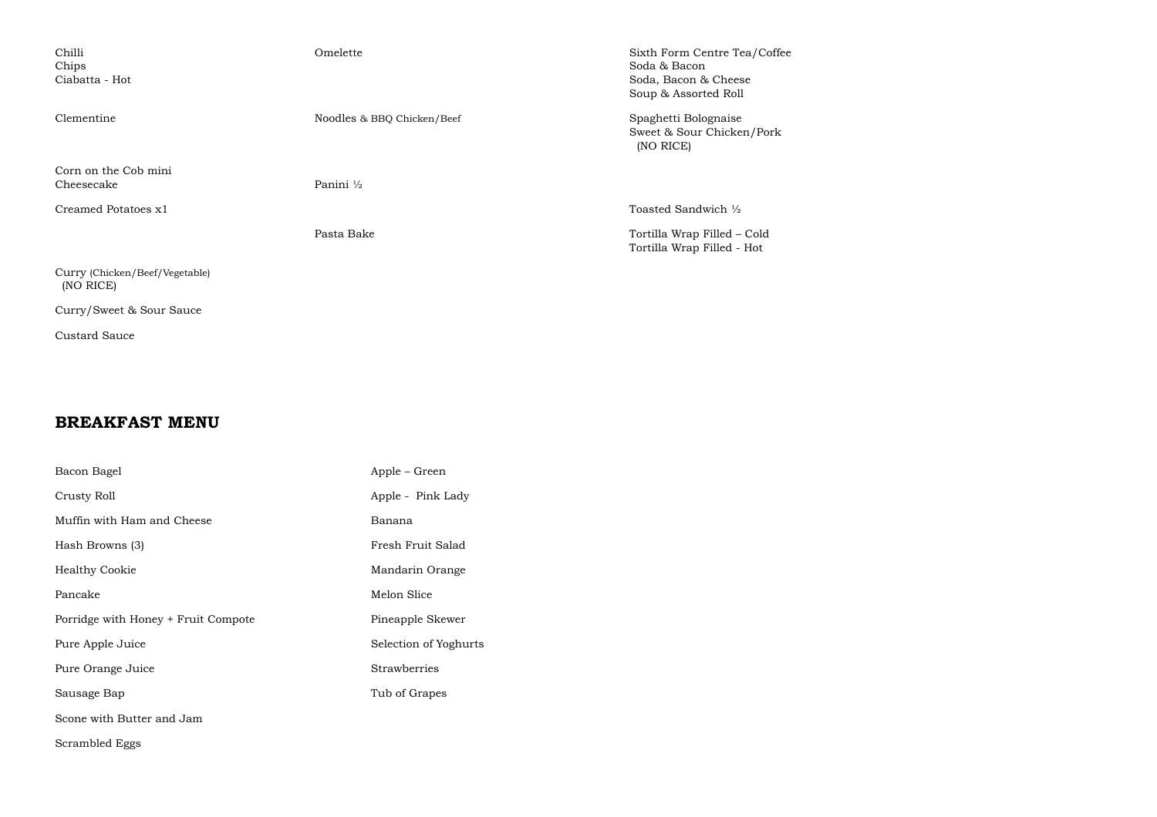| Chilli<br>Chips<br>Ciabatta - Hot           | Omelette                   | Sixth Form Centre Tea/Coffee<br>Soda & Bacon<br>Soda, Bacon & Cheese<br>Soup & Assorted Roll |
|---------------------------------------------|----------------------------|----------------------------------------------------------------------------------------------|
| Clementine                                  | Noodles & BBQ Chicken/Beef | Spaghetti Bolognaise<br>Sweet & Sour Chicken/Pork<br>(NO RICE)                               |
| Corn on the Cob mini<br>Cheesecake          | Panini 1/2                 |                                                                                              |
| Creamed Potatoes x1                         |                            | Toasted Sandwich 1/2                                                                         |
|                                             | Pasta Bake                 | Tortilla Wrap Filled – Cold<br>Tortilla Wrap Filled - Hot                                    |
| Curry (Chicken/Beef/Vegetable)<br>(NO RICE) |                            |                                                                                              |
| Curry/Sweet & Sour Sauce                    |                            |                                                                                              |

Custard Sauce

#### **BREAKFAST MENU**

| Bacon Bagel                         | Apple – Green         |
|-------------------------------------|-----------------------|
| Crusty Roll                         | Apple - Pink Lady     |
| Muffin with Ham and Cheese          | Banana                |
| Hash Browns (3)                     | Fresh Fruit Salad     |
| <b>Healthy Cookie</b>               | Mandarin Orange       |
| Pancake                             | Melon Slice           |
| Porridge with Honey + Fruit Compote | Pineapple Skewer      |
| Pure Apple Juice                    | Selection of Yoghurts |
| Pure Orange Juice                   | <b>Strawberries</b>   |
| Sausage Bap                         | Tub of Grapes         |
| Scone with Butter and Jam           |                       |
| Scrambled Eggs                      |                       |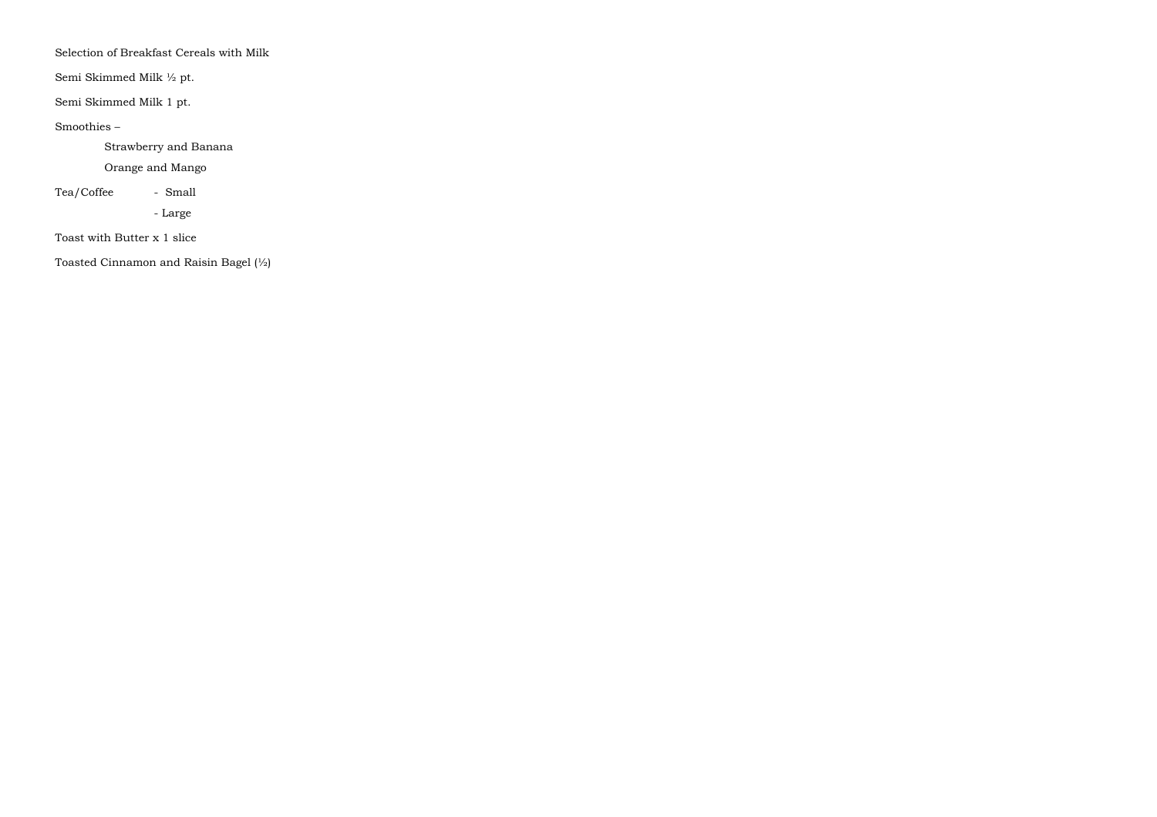Selection of Breakfast Cereals with Milk

Semi Skimmed Milk ½ pt.

Semi Skimmed Milk 1 pt.

Smoothies –

Strawberry and Banana

Orange and Mango

Tea/Coffee - Small

- Large

Toast with Butter x 1 slice

Toasted Cinnamon and Raisin Bagel (½)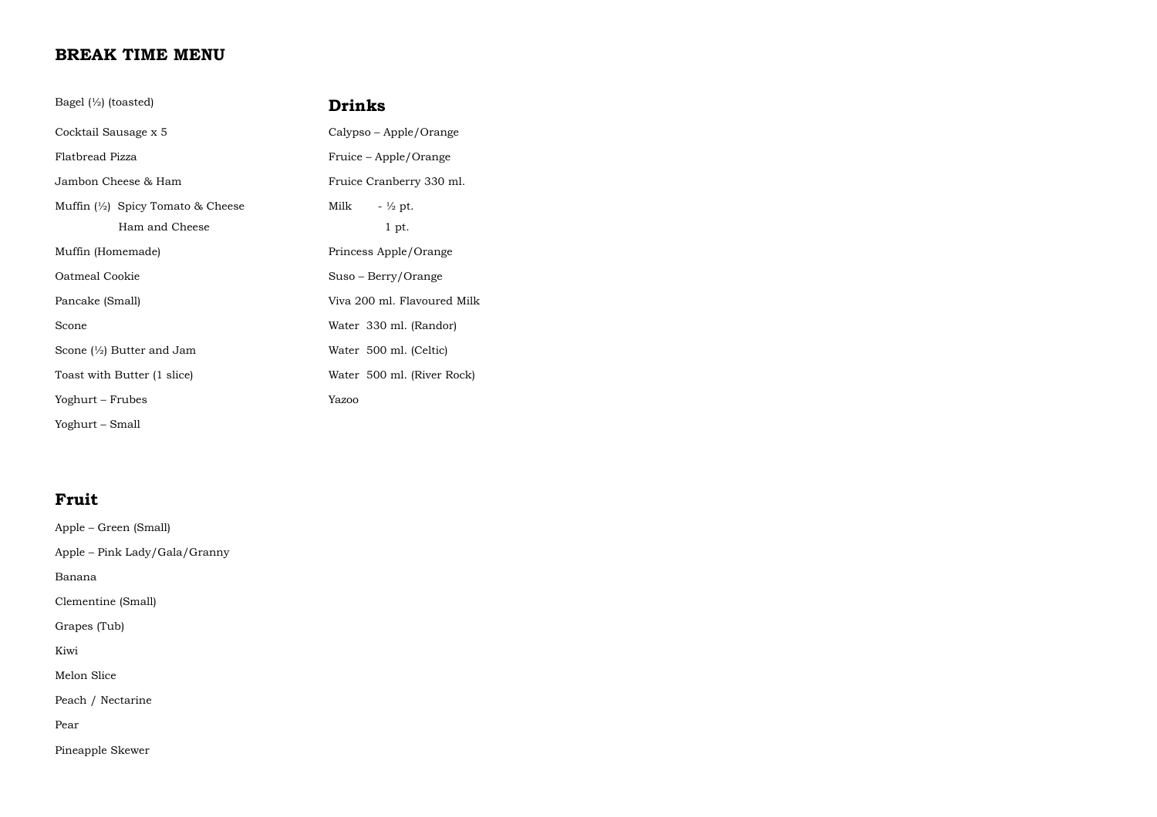### **BREAK TIME MENU**

| Bagel $\left(\frac{1}{2}\right)$ (toasted)                   | Drinks                       |
|--------------------------------------------------------------|------------------------------|
| Cocktail Sausage x 5                                         | Calypso – Apple/Orange       |
| Flatbread Pizza                                              | Fruice – Apple/Orange        |
| Jambon Cheese & Ham                                          | Fruice Cranberry 330 ml.     |
| Muffin $\frac{1}{2}$ Spicy Tomato & Cheese<br>Ham and Cheese | Milk<br>$-$ ½ pt.<br>$1$ pt. |
| Muffin (Homemade)                                            | Princess Apple/Orange        |
| Oatmeal Cookie                                               | Suso – Berry/Orange          |
| Pancake (Small)                                              | Viva 200 ml. Flavoured Milk  |
| Scone                                                        | Water 330 ml. (Randor)       |
| Scone $\binom{1}{2}$ Butter and Jam                          | Water 500 ml. (Celtic)       |
| Toast with Butter (1 slice)                                  | Water 500 ml. (River Rock)   |
| Yoghurt – Frubes                                             | Yazoo                        |
| Yoghurt – Small                                              |                              |

## **Fruit**

Apple – Green (Small) Apple – Pink Lady/Gala/Granny Banana Clementine (Small) Grapes (Tub) Kiwi Melon Slice Peach / Nectarine Pear Pineapple Skewer